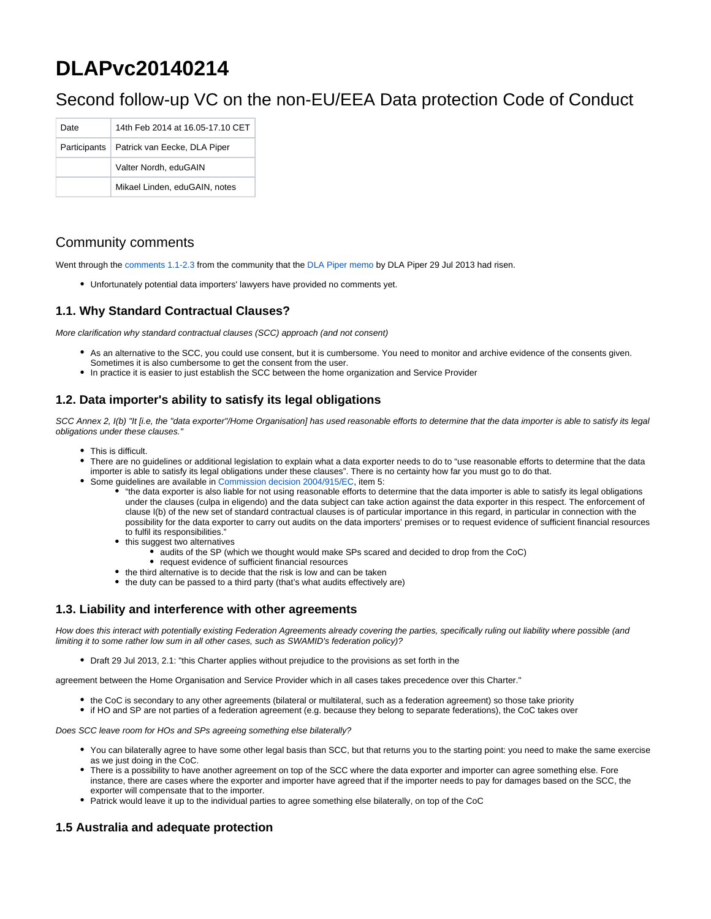# **DLAPvc20140214**

# Second follow-up VC on the non-EU/EEA Data protection Code of Conduct

| Date         | 14th Feb 2014 at 16.05-17.10 CET |
|--------------|----------------------------------|
| Participants | Patrick van Eecke, DLA Piper     |
|              | Valter Nordh, eduGAIN            |
|              | Mikael Linden, eduGAIN, notes    |

# Community comments

Went through the [comments 1.1-2.3](https://refeds.terena.org/index.php/International_dp_coc) from the community that the [DLA Piper memo](https://refeds.terena.org/images/7/72/Geant_CoC_non-EU_service_providers_-_%28DLA_draft_29072013%29.pdf) by DLA Piper 29 Jul 2013 had risen.

Unfortunately potential data importers' lawyers have provided no comments yet.

## **1.1. Why Standard Contractual Clauses?**

More clarification why standard contractual clauses (SCC) approach (and not consent)

- As an alternative to the SCC, you could use consent, but it is cumbersome. You need to monitor and archive evidence of the consents given. Sometimes it is also cumbersome to get the consent from the user.
- In practice it is easier to just establish the SCC between the home organization and Service Provider

# **1.2. Data importer's ability to satisfy its legal obligations**

SCC Annex 2, I(b) "It [i.e, the "data exporter"/Home Organisation] has used reasonable efforts to determine that the data importer is able to satisfy its legal obligations under these clauses."

- This is difficult.
- There are no guidelines or additional legislation to explain what a data exporter needs to do to "use reasonable efforts to determine that the data importer is able to satisfy its legal obligations under these clauses". There is no certainty how far you must go to do that.
- Some guidelines are available in [Commission decision 2004/915/EC,](http://eur-lex.europa.eu/LexUriServ/LexUriServ.do?uri=CELEX:32004D0915:EN:NOT) item 5:
	- "the data exporter is also liable for not using reasonable efforts to determine that the data importer is able to satisfy its legal obligations under the clauses (culpa in eligendo) and the data subject can take action against the data exporter in this respect. The enforcement of clause I(b) of the new set of standard contractual clauses is of particular importance in this regard, in particular in connection with the possibility for the data exporter to carry out audits on the data importers' premises or to request evidence of sufficient financial resources to fulfil its responsibilities."
	- this suggest two alternatives
		- $\bullet$  audits of the SP (which we thought would make SPs scared and decided to drop from the CoC)
		- request evidence of sufficient financial resources
	- the third alternative is to decide that the risk is low and can be taken
	- the duty can be passed to a third party (that's what audits effectively are)

#### **1.3. Liability and interference with other agreements**

How does this interact with potentially existing Federation Agreements already covering the parties, specifically ruling out liability where possible (and limiting it to some rather low sum in all other cases, such as SWAMID's federation policy)?

Draft 29 Jul 2013, 2.1: "this Charter applies without prejudice to the provisions as set forth in the

agreement between the Home Organisation and Service Provider which in all cases takes precedence over this Charter."

- the CoC is secondary to any other agreements (bilateral or multilateral, such as a federation agreement) so those take priority
- if HO and SP are not parties of a federation agreement (e.g. because they belong to separate federations), the CoC takes over

Does SCC leave room for HOs and SPs agreeing something else bilaterally?

- You can bilaterally agree to have some other legal basis than SCC, but that returns you to the starting point: you need to make the same exercise as we just doing in the CoC.
- There is a possibility to have another agreement on top of the SCC where the data exporter and importer can agree something else. Fore instance, there are cases where the exporter and importer have agreed that if the importer needs to pay for damages based on the SCC, the exporter will compensate that to the importer.
- Patrick would leave it up to the individual parties to agree something else bilaterally, on top of the CoC

# **1.5 Australia and adequate protection**